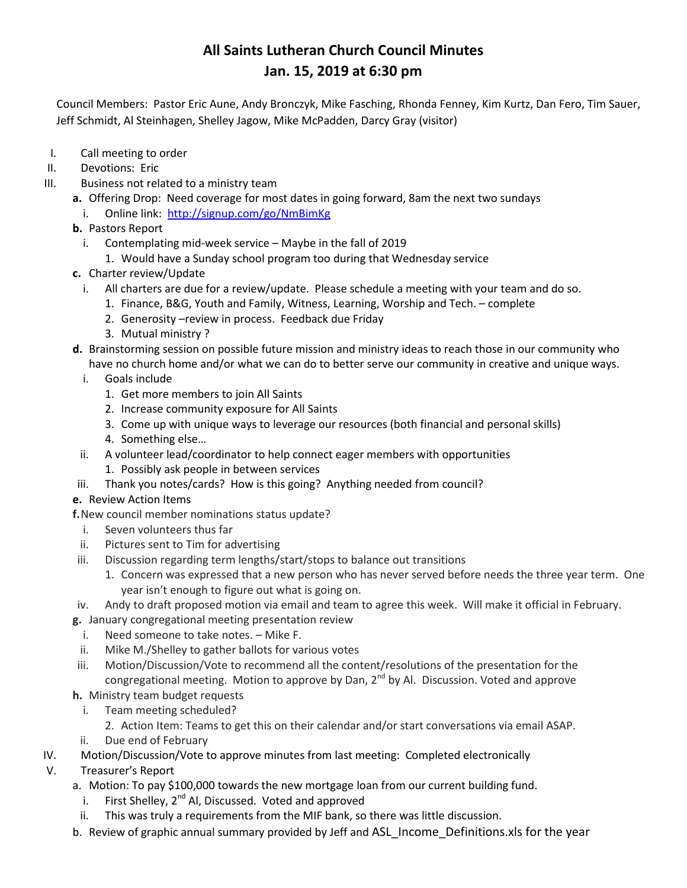Council Members: Pastor Eric Aune, Andy Bronczyk, Mike Fasching, Rhonda Fenney, Kim Kurtz, Dan Fero, Tim Sauer, Jeff Schmidt, Al Steinhagen, Shelley Jagow, Mike McPadden, Darcy Gray (visitor)

- I. Call meeting to order
- II. Devotions: Eric
- III. Business not related to a ministry team
	- **a.** Offering Drop: Need coverage for most dates in going forward, 8am the next two sundays
		- i. Online link: <http://signup.com/go/NmBimKg>
	- **b.** Pastors Report
		- i. Contemplating mid-week service Maybe in the fall of 2019
			- 1. Would have a Sunday school program too during that Wednesday service
	- **c.** Charter review/Update
		- i. All charters are due for a review/update. Please schedule a meeting with your team and do so.
			- 1. Finance, B&G, Youth and Family, Witness, Learning, Worship and Tech. complete
			- 2. Generosity –review in process. Feedback due Friday
			- 3. Mutual ministry ?
	- **d.** Brainstorming session on possible future mission and ministry ideas to reach those in our community who have no church home and/or what we can do to better serve our community in creative and unique ways.
		- i. Goals include
			- 1. Get more members to join All Saints
			- 2. Increase community exposure for All Saints
			- 3. Come up with unique ways to leverage our resources (both financial and personal skills)
			- 4. Something else…
	- ii. A volunteer lead/coordinator to help connect eager members with opportunities
		- 1. Possibly ask people in between services
	- iii. Thank you notes/cards? How is this going? Anything needed from council?

### **e.** Review Action Items

- **f.**New council member nominations status update?
- i. Seven volunteers thus far
- ii. Pictures sent to Tim for advertising
- iii. Discussion regarding term lengths/start/stops to balance out transitions
	- 1. Concern was expressed that a new person who has never served before needs the three year term. One year isn't enough to figure out what is going on.
- iv. Andy to draft proposed motion via email and team to agree this week. Will make it official in February.
- **g.** January congregational meeting presentation review
	- i. Need someone to take notes. Mike F.
- ii. Mike M./Shelley to gather ballots for various votes
- iii. Motion/Discussion/Vote to recommend all the content/resolutions of the presentation for the congregational meeting. Motion to approve by Dan,  $2^{nd}$  by Al. Discussion. Voted and approve
- **h.** Ministry team budget requests
	- i. Team meeting scheduled?
		- 2. Action Item: Teams to get this on their calendar and/or start conversations via email ASAP.
- ii. Due end of February
- IV. Motion/Discussion/Vote to approve minutes from last meeting: Completed electronically
- V. Treasurer's Report
	- a. Motion: To pay \$100,000 towards the new mortgage loan from our current building fund.
		- i. First Shelley,  $2^{nd}$  Al, Discussed. Voted and approved
	- ii. This was truly a requirements from the MIF bank, so there was little discussion.
	- b. Review of graphic annual summary provided by Jeff and ASL Income Definitions.xls for the year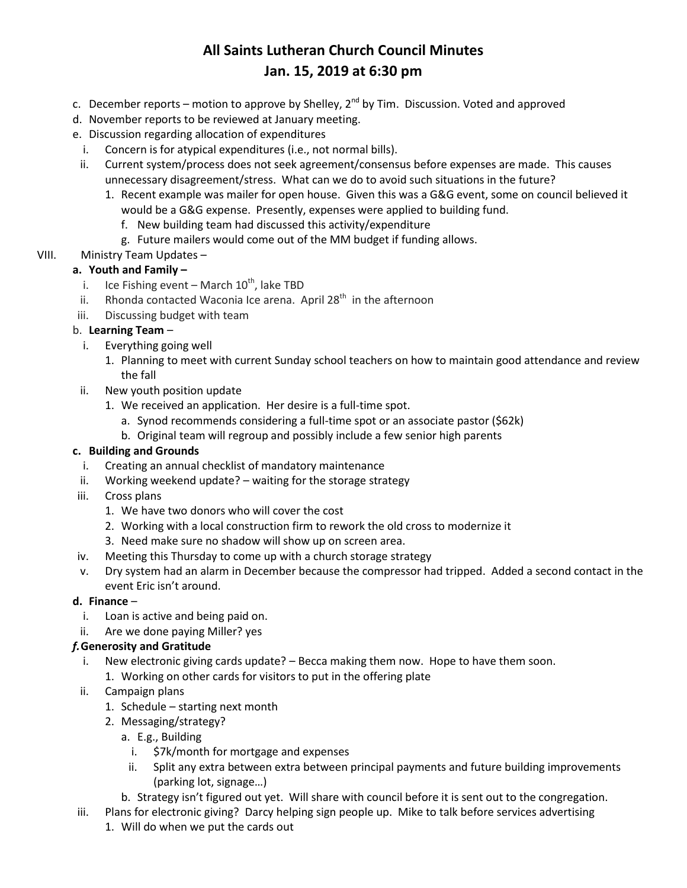- c. December reports motion to approve by Shelley, 2<sup>nd</sup> by Tim. Discussion. Voted and approved
- d. November reports to be reviewed at January meeting.
- e. Discussion regarding allocation of expenditures
	- i. Concern is for atypical expenditures (i.e., not normal bills).
- ii. Current system/process does not seek agreement/consensus before expenses are made. This causes unnecessary disagreement/stress. What can we do to avoid such situations in the future?
	- 1. Recent example was mailer for open house. Given this was a G&G event, some on council believed it would be a G&G expense. Presently, expenses were applied to building fund.
		- f. New building team had discussed this activity/expenditure
		- g. Future mailers would come out of the MM budget if funding allows.
- VIII. Ministry Team Updates –

### **a. Youth and Family –**

- i. Ice Fishing event March  $10^{th}$ , lake TBD
- ii. Rhonda contacted Waconia Ice arena. April 28<sup>th</sup> in the afternoon
- iii. Discussing budget with team

### b. **Learning Team** –

- i. Everything going well
	- 1. Planning to meet with current Sunday school teachers on how to maintain good attendance and review the fall
- ii. New youth position update
	- 1. We received an application. Her desire is a full-time spot.
		- a. Synod recommends considering a full-time spot or an associate pastor (\$62k)
		- b. Original team will regroup and possibly include a few senior high parents

### **c. Building and Grounds**

- i. Creating an annual checklist of mandatory maintenance
- ii. Working weekend update? waiting for the storage strategy
- iii. Cross plans
	- 1. We have two donors who will cover the cost
	- 2. Working with a local construction firm to rework the old cross to modernize it
	- 3. Need make sure no shadow will show up on screen area.
- iv. Meeting this Thursday to come up with a church storage strategy
- v. Dry system had an alarm in December because the compressor had tripped. Added a second contact in the event Eric isn't around.

### **d. Finance** –

- i. Loan is active and being paid on.
- ii. Are we done paying Miller? yes

### *f.***Generosity and Gratitude**

- i. New electronic giving cards update? Becca making them now. Hope to have them soon.
	- 1. Working on other cards for visitors to put in the offering plate
- ii. Campaign plans
	- 1. Schedule starting next month
	- 2. Messaging/strategy?
		- a. E.g., Building
			- i. \$7k/month for mortgage and expenses
			- ii. Split any extra between extra between principal payments and future building improvements (parking lot, signage…)
		- b. Strategy isn't figured out yet. Will share with council before it is sent out to the congregation.
- iii. Plans for electronic giving? Darcy helping sign people up. Mike to talk before services advertising
	- 1. Will do when we put the cards out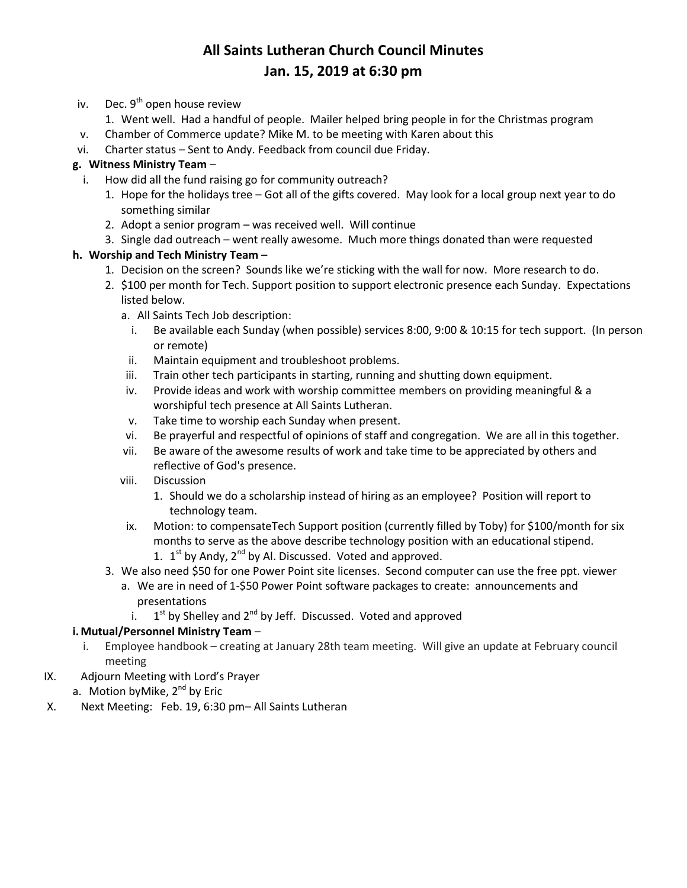- iv. Dec.  $9^{th}$  open house review
	- 1. Went well. Had a handful of people. Mailer helped bring people in for the Christmas program
- v. Chamber of Commerce update? Mike M. to be meeting with Karen about this
- vi. Charter status Sent to Andy. Feedback from council due Friday.

### **g. Witness Ministry Team** –

- i. How did all the fund raising go for community outreach?
	- 1. Hope for the holidays tree Got all of the gifts covered. May look for a local group next year to do something similar
	- 2. Adopt a senior program was received well. Will continue
	- 3. Single dad outreach went really awesome. Much more things donated than were requested

#### **h. Worship and Tech Ministry Team** –

- 1. Decision on the screen? Sounds like we're sticking with the wall for now. More research to do.
- 2. \$100 per month for Tech. Support position to support electronic presence each Sunday. Expectations listed below.
	- a. All Saints Tech Job description:
		- i. Be available each Sunday (when possible) services 8:00, 9:00 & 10:15 for tech support. (In person or remote)
	- ii. Maintain equipment and troubleshoot problems.
	- iii. Train other tech participants in starting, running and shutting down equipment.
	- iv. Provide ideas and work with worship committee members on providing meaningful & a worshipful tech presence at All Saints Lutheran.
	- v. Take time to worship each Sunday when present.
	- vi. Be prayerful and respectful of opinions of staff and congregation. We are all in this together.
	- vii. Be aware of the awesome results of work and take time to be appreciated by others and reflective of God's presence.
	- viii. Discussion
		- 1. Should we do a scholarship instead of hiring as an employee? Position will report to technology team.
	- ix. Motion: to compensateTech Support position (currently filled by Toby) for \$100/month for six months to serve as the above describe technology position with an educational stipend.
		- 1.  $1^{st}$  by Andy,  $2^{nd}$  by Al. Discussed. Voted and approved.
- 3. We also need \$50 for one Power Point site licenses. Second computer can use the free ppt. viewer a. We are in need of 1-\$50 Power Point software packages to create: announcements and
	- presentations
	- i. <sup>st</sup> by Shelley and 2<sup>nd</sup> by Jeff. Discussed. Voted and approved

### **i.Mutual/Personnel Ministry Team** –

- i. Employee handbook creating at January 28th team meeting. Will give an update at February council meeting
- IX. Adjourn Meeting with Lord's Prayer
	- a. Motion by Mike,  $2^{nd}$  by Eric
- X. Next Meeting: Feb. 19, 6:30 pm– All Saints Lutheran